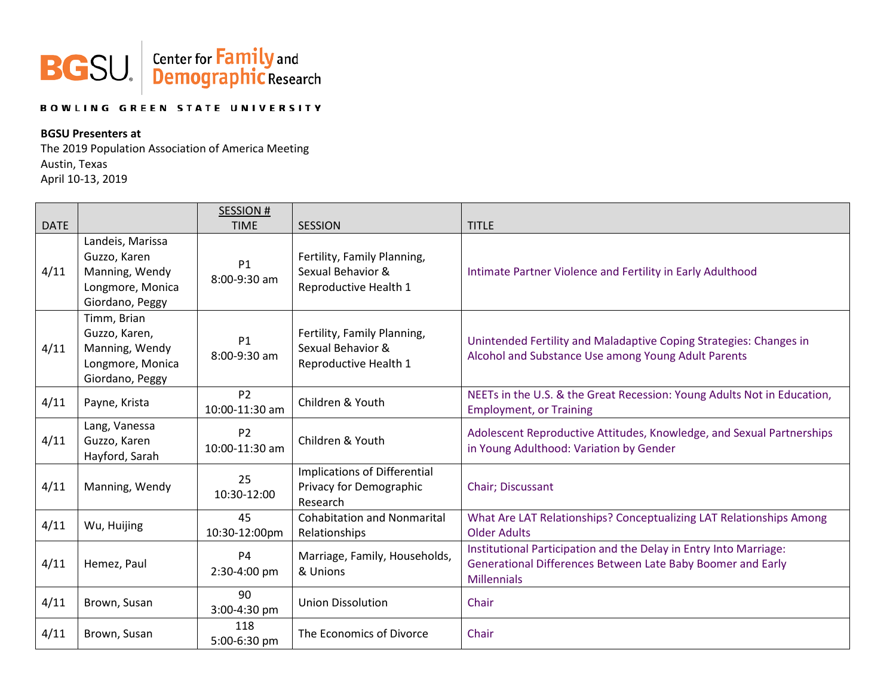

## **BOWLING GREEN STATE UNIVERSITY**

## **BGSU Presenters at**

The 2019 Population Association of America Meeting Austin, Texas April 10-13, 2019

| <b>DATE</b> |                                                                                           | <b>SESSION#</b><br><b>TIME</b>   | <b>SESSION</b>                                                            | <b>TITLE</b>                                                                                                                                           |
|-------------|-------------------------------------------------------------------------------------------|----------------------------------|---------------------------------------------------------------------------|--------------------------------------------------------------------------------------------------------------------------------------------------------|
| 4/11        | Landeis, Marissa<br>Guzzo, Karen<br>Manning, Wendy<br>Longmore, Monica<br>Giordano, Peggy | P1<br>8:00-9:30 am               | Fertility, Family Planning,<br>Sexual Behavior &<br>Reproductive Health 1 | Intimate Partner Violence and Fertility in Early Adulthood                                                                                             |
| 4/11        | Timm, Brian<br>Guzzo, Karen,<br>Manning, Wendy<br>Longmore, Monica<br>Giordano, Peggy     | P1<br>8:00-9:30 am               | Fertility, Family Planning,<br>Sexual Behavior &<br>Reproductive Health 1 | Unintended Fertility and Maladaptive Coping Strategies: Changes in<br>Alcohol and Substance Use among Young Adult Parents                              |
| 4/11        | Payne, Krista                                                                             | P <sub>2</sub><br>10:00-11:30 am | Children & Youth                                                          | NEETs in the U.S. & the Great Recession: Young Adults Not in Education,<br><b>Employment, or Training</b>                                              |
| 4/11        | Lang, Vanessa<br>Guzzo, Karen<br>Hayford, Sarah                                           | P <sub>2</sub><br>10:00-11:30 am | Children & Youth                                                          | Adolescent Reproductive Attitudes, Knowledge, and Sexual Partnerships<br>in Young Adulthood: Variation by Gender                                       |
| 4/11        | Manning, Wendy                                                                            | 25<br>10:30-12:00                | Implications of Differential<br>Privacy for Demographic<br>Research       | Chair; Discussant                                                                                                                                      |
| 4/11        | Wu, Huijing                                                                               | 45<br>10:30-12:00pm              | <b>Cohabitation and Nonmarital</b><br>Relationships                       | What Are LAT Relationships? Conceptualizing LAT Relationships Among<br><b>Older Adults</b>                                                             |
| 4/11        | Hemez, Paul                                                                               | <b>P4</b><br>2:30-4:00 pm        | Marriage, Family, Households,<br>& Unions                                 | Institutional Participation and the Delay in Entry Into Marriage:<br>Generational Differences Between Late Baby Boomer and Early<br><b>Millennials</b> |
| 4/11        | Brown, Susan                                                                              | 90<br>3:00-4:30 pm               | <b>Union Dissolution</b>                                                  | Chair                                                                                                                                                  |
| 4/11        | Brown, Susan                                                                              | 118<br>5:00-6:30 pm              | The Economics of Divorce                                                  | Chair                                                                                                                                                  |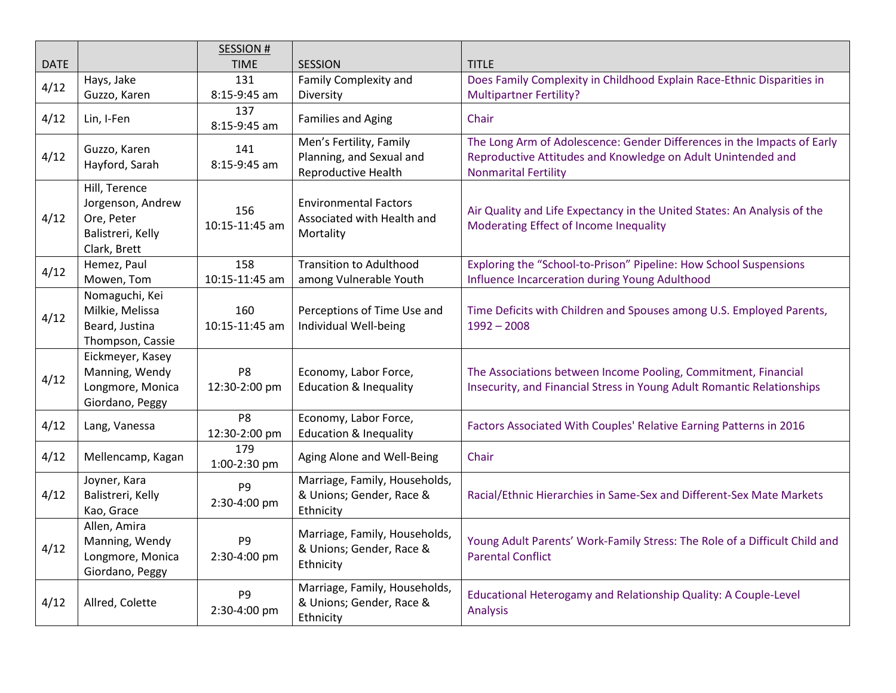| <b>DATE</b> |                                                                                       | <b>SESSION#</b><br><b>TIME</b>  | <b>SESSION</b>                                                             | <b>TITLE</b>                                                                                                                                                           |
|-------------|---------------------------------------------------------------------------------------|---------------------------------|----------------------------------------------------------------------------|------------------------------------------------------------------------------------------------------------------------------------------------------------------------|
| 4/12        | Hays, Jake<br>Guzzo, Karen                                                            | 131<br>8:15-9:45 am             | Family Complexity and<br>Diversity                                         | Does Family Complexity in Childhood Explain Race-Ethnic Disparities in<br><b>Multipartner Fertility?</b>                                                               |
| 4/12        | Lin, I-Fen                                                                            | 137<br>8:15-9:45 am             | <b>Families and Aging</b>                                                  | Chair                                                                                                                                                                  |
| 4/12        | Guzzo, Karen<br>Hayford, Sarah                                                        | 141<br>8:15-9:45 am             | Men's Fertility, Family<br>Planning, and Sexual and<br>Reproductive Health | The Long Arm of Adolescence: Gender Differences in the Impacts of Early<br>Reproductive Attitudes and Knowledge on Adult Unintended and<br><b>Nonmarital Fertility</b> |
| 4/12        | Hill, Terence<br>Jorgenson, Andrew<br>Ore, Peter<br>Balistreri, Kelly<br>Clark, Brett | 156<br>10:15-11:45 am           | <b>Environmental Factors</b><br>Associated with Health and<br>Mortality    | Air Quality and Life Expectancy in the United States: An Analysis of the<br>Moderating Effect of Income Inequality                                                     |
| 4/12        | Hemez, Paul<br>Mowen, Tom                                                             | 158<br>10:15-11:45 am           | <b>Transition to Adulthood</b><br>among Vulnerable Youth                   | Exploring the "School-to-Prison" Pipeline: How School Suspensions<br>Influence Incarceration during Young Adulthood                                                    |
| 4/12        | Nomaguchi, Kei<br>Milkie, Melissa<br>Beard, Justina<br>Thompson, Cassie               | 160<br>10:15-11:45 am           | Perceptions of Time Use and<br>Individual Well-being                       | Time Deficits with Children and Spouses among U.S. Employed Parents,<br>$1992 - 2008$                                                                                  |
| 4/12        | Eickmeyer, Kasey<br>Manning, Wendy<br>Longmore, Monica<br>Giordano, Peggy             | P8<br>12:30-2:00 pm             | Economy, Labor Force,<br><b>Education &amp; Inequality</b>                 | The Associations between Income Pooling, Commitment, Financial<br>Insecurity, and Financial Stress in Young Adult Romantic Relationships                               |
| 4/12        | Lang, Vanessa                                                                         | P <sub>8</sub><br>12:30-2:00 pm | Economy, Labor Force,<br><b>Education &amp; Inequality</b>                 | Factors Associated With Couples' Relative Earning Patterns in 2016                                                                                                     |
| 4/12        | Mellencamp, Kagan                                                                     | 179<br>1:00-2:30 pm             | Aging Alone and Well-Being                                                 | Chair                                                                                                                                                                  |
| 4/12        | Joyner, Kara<br>Balistreri, Kelly<br>Kao, Grace                                       | P <sub>9</sub><br>2:30-4:00 pm  | Marriage, Family, Households,<br>& Unions; Gender, Race &<br>Ethnicity     | Racial/Ethnic Hierarchies in Same-Sex and Different-Sex Mate Markets                                                                                                   |
| 4/12        | Allen, Amira<br>Manning, Wendy<br>Longmore, Monica<br>Giordano, Peggy                 | P9<br>2:30-4:00 pm              | Marriage, Family, Households,<br>& Unions; Gender, Race &<br>Ethnicity     | Young Adult Parents' Work-Family Stress: The Role of a Difficult Child and<br><b>Parental Conflict</b>                                                                 |
| 4/12        | Allred, Colette                                                                       | P <sub>9</sub><br>2:30-4:00 pm  | Marriage, Family, Households,<br>& Unions; Gender, Race &<br>Ethnicity     | Educational Heterogamy and Relationship Quality: A Couple-Level<br>Analysis                                                                                            |